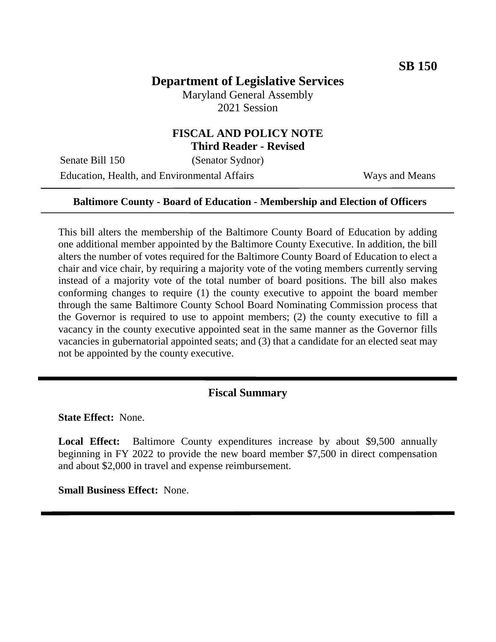# **Department of Legislative Services**

Maryland General Assembly 2021 Session

# **FISCAL AND POLICY NOTE Third Reader - Revised**

Senate Bill 150 (Senator Sydnor) Education, Health, and Environmental Affairs Ways and Means

#### **Baltimore County - Board of Education - Membership and Election of Officers**

This bill alters the membership of the Baltimore County Board of Education by adding one additional member appointed by the Baltimore County Executive. In addition, the bill alters the number of votes required for the Baltimore County Board of Education to elect a chair and vice chair, by requiring a majority vote of the voting members currently serving instead of a majority vote of the total number of board positions. The bill also makes conforming changes to require (1) the county executive to appoint the board member through the same Baltimore County School Board Nominating Commission process that the Governor is required to use to appoint members; (2) the county executive to fill a vacancy in the county executive appointed seat in the same manner as the Governor fills vacancies in gubernatorial appointed seats; and (3) that a candidate for an elected seat may not be appointed by the county executive.

#### **Fiscal Summary**

**State Effect:** None.

**Local Effect:** Baltimore County expenditures increase by about \$9,500 annually beginning in FY 2022 to provide the new board member \$7,500 in direct compensation and about \$2,000 in travel and expense reimbursement.

**Small Business Effect:** None.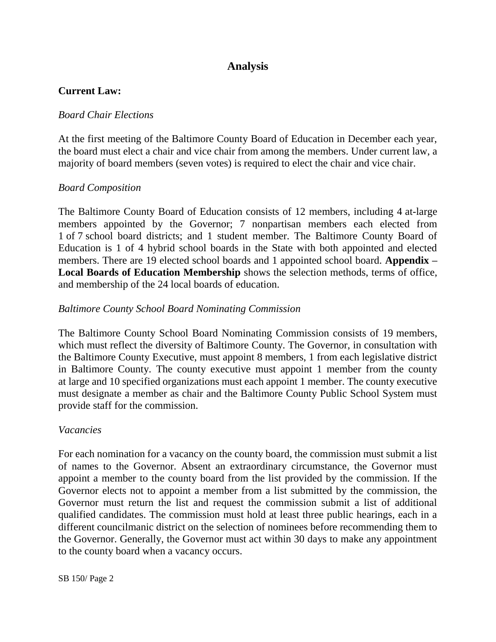# **Analysis**

# **Current Law:**

## *Board Chair Elections*

At the first meeting of the Baltimore County Board of Education in December each year, the board must elect a chair and vice chair from among the members. Under current law, a majority of board members (seven votes) is required to elect the chair and vice chair.

# *Board Composition*

The Baltimore County Board of Education consists of 12 members, including 4 at-large members appointed by the Governor; 7 nonpartisan members each elected from 1 of 7 school board districts; and 1 student member. The Baltimore County Board of Education is 1 of 4 hybrid school boards in the State with both appointed and elected members. There are 19 elected school boards and 1 appointed school board. **Appendix – Local Boards of Education Membership** shows the selection methods, terms of office, and membership of the 24 local boards of education.

# *Baltimore County School Board Nominating Commission*

The Baltimore County School Board Nominating Commission consists of 19 members, which must reflect the diversity of Baltimore County. The Governor, in consultation with the Baltimore County Executive, must appoint 8 members, 1 from each legislative district in Baltimore County. The county executive must appoint 1 member from the county at large and 10 specified organizations must each appoint 1 member. The county executive must designate a member as chair and the Baltimore County Public School System must provide staff for the commission.

### *Vacancies*

For each nomination for a vacancy on the county board, the commission must submit a list of names to the Governor. Absent an extraordinary circumstance, the Governor must appoint a member to the county board from the list provided by the commission. If the Governor elects not to appoint a member from a list submitted by the commission, the Governor must return the list and request the commission submit a list of additional qualified candidates. The commission must hold at least three public hearings, each in a different councilmanic district on the selection of nominees before recommending them to the Governor. Generally, the Governor must act within 30 days to make any appointment to the county board when a vacancy occurs.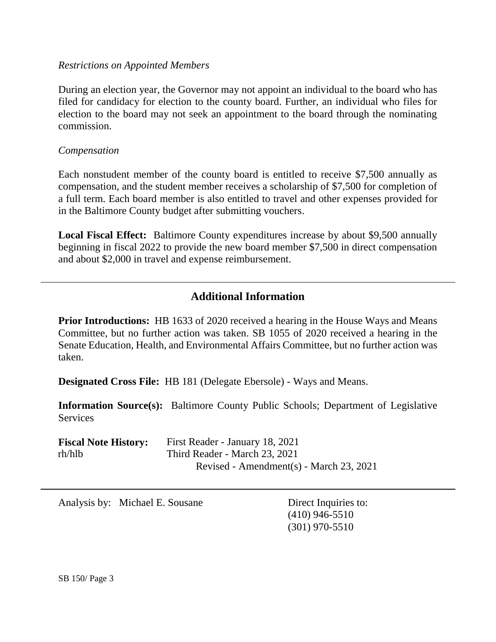### *Restrictions on Appointed Members*

During an election year, the Governor may not appoint an individual to the board who has filed for candidacy for election to the county board. Further, an individual who files for election to the board may not seek an appointment to the board through the nominating commission.

#### *Compensation*

Each nonstudent member of the county board is entitled to receive \$7,500 annually as compensation, and the student member receives a scholarship of \$7,500 for completion of a full term. Each board member is also entitled to travel and other expenses provided for in the Baltimore County budget after submitting vouchers.

**Local Fiscal Effect:** Baltimore County expenditures increase by about \$9,500 annually beginning in fiscal 2022 to provide the new board member \$7,500 in direct compensation and about \$2,000 in travel and expense reimbursement.

# **Additional Information**

**Prior Introductions:** HB 1633 of 2020 received a hearing in the House Ways and Means Committee, but no further action was taken. SB 1055 of 2020 received a hearing in the Senate Education, Health, and Environmental Affairs Committee, but no further action was taken.

**Designated Cross File:** HB 181 (Delegate Ebersole) - Ways and Means.

**Information Source(s):** Baltimore County Public Schools; Department of Legislative **Services** 

| <b>Fiscal Note History:</b> | First Reader - January 18, 2021         |
|-----------------------------|-----------------------------------------|
| rh/hlb                      | Third Reader - March 23, 2021           |
|                             | Revised - Amendment(s) - March 23, 2021 |

Analysis by: Michael E. Sousane Direct Inquiries to:

(410) 946-5510 (301) 970-5510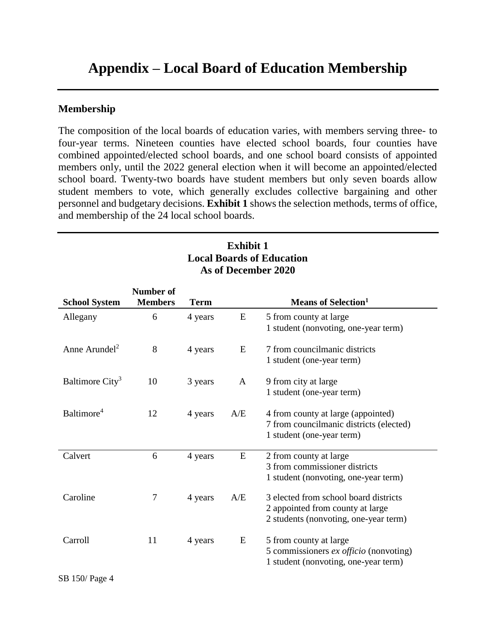# **Appendix – Local Board of Education Membership**

### **Membership**

The composition of the local boards of education varies, with members serving three- to four-year terms. Nineteen counties have elected school boards, four counties have combined appointed/elected school boards, and one school board consists of appointed members only, until the 2022 general election when it will become an appointed/elected school board. Twenty-two boards have student members but only seven boards allow student members to vote, which generally excludes collective bargaining and other personnel and budgetary decisions. **Exhibit 1** shows the selection methods, terms of office, and membership of the 24 local school boards.

| Local Boards of Equeation<br>As of December 2020 |                             |             |     |                                                                                                                    |
|--------------------------------------------------|-----------------------------|-------------|-----|--------------------------------------------------------------------------------------------------------------------|
| <b>School System</b>                             | Number of<br><b>Members</b> | <b>Term</b> |     | <b>Means of Selection</b> <sup>1</sup>                                                                             |
| Allegany                                         | 6                           | 4 years     | E   | 5 from county at large<br>1 student (nonvoting, one-year term)                                                     |
| Anne Arundel <sup>2</sup>                        | 8                           | 4 years     | E   | 7 from councilmanic districts<br>1 student (one-year term)                                                         |
| Baltimore City <sup>3</sup>                      | 10                          | 3 years     | A   | 9 from city at large<br>1 student (one-year term)                                                                  |
| Baltimore <sup>4</sup>                           | 12                          | 4 years     | A/E | 4 from county at large (appointed)<br>7 from councilmanic districts (elected)<br>1 student (one-year term)         |
| Calvert                                          | 6                           | 4 years     | E   | 2 from county at large<br>3 from commissioner districts<br>1 student (nonvoting, one-year term)                    |
| Caroline                                         | 7                           | 4 years     | A/E | 3 elected from school board districts<br>2 appointed from county at large<br>2 students (nonvoting, one-year term) |
| Carroll                                          | 11                          | 4 years     | E   | 5 from county at large<br>5 commissioners ex officio (nonvoting)<br>1 student (nonvoting, one-year term)           |

# **Exhibit 1 Local Boards of Education**

SB 150/ Page 4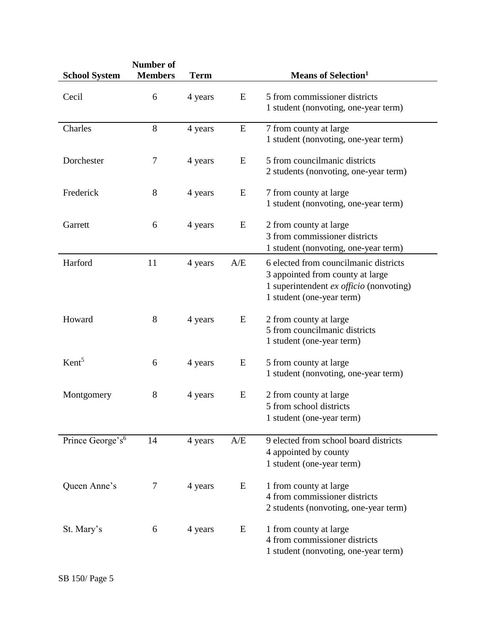| <b>School System</b>         | <b>Number of</b><br><b>Members</b> | Term    |     | <b>Means of Selection</b> <sup>1</sup>                                                                                                            |
|------------------------------|------------------------------------|---------|-----|---------------------------------------------------------------------------------------------------------------------------------------------------|
| Cecil                        | 6                                  | 4 years | E   | 5 from commissioner districts<br>1 student (nonvoting, one-year term)                                                                             |
| Charles                      | 8                                  | 4 years | E   | 7 from county at large<br>1 student (nonvoting, one-year term)                                                                                    |
| Dorchester                   | $\tau$                             | 4 years | E   | 5 from councilmanic districts<br>2 students (nonvoting, one-year term)                                                                            |
| Frederick                    | 8                                  | 4 years | E   | 7 from county at large<br>1 student (nonvoting, one-year term)                                                                                    |
| Garrett                      | 6                                  | 4 years | E   | 2 from county at large<br>3 from commissioner districts<br>1 student (nonvoting, one-year term)                                                   |
| Harford                      | 11                                 | 4 years | A/E | 6 elected from councilmanic districts<br>3 appointed from county at large<br>1 superintendent ex officio (nonvoting)<br>1 student (one-year term) |
| Howard                       | 8                                  | 4 years | E   | 2 from county at large<br>5 from councilmanic districts<br>1 student (one-year term)                                                              |
| Kent <sup>5</sup>            | 6                                  | 4 years | E   | 5 from county at large<br>1 student (nonvoting, one-year term)                                                                                    |
| Montgomery                   | 8                                  | 4 years | E   | 2 from county at large<br>5 from school districts<br>1 student (one-year term)                                                                    |
| Prince George's <sup>6</sup> | 14                                 | 4 years | A/E | 9 elected from school board districts<br>4 appointed by county<br>1 student (one-year term)                                                       |
| Queen Anne's                 | 7                                  | 4 years | E   | 1 from county at large<br>4 from commissioner districts<br>2 students (nonvoting, one-year term)                                                  |
| St. Mary's                   | 6                                  | 4 years | E   | 1 from county at large<br>4 from commissioner districts<br>1 student (nonvoting, one-year term)                                                   |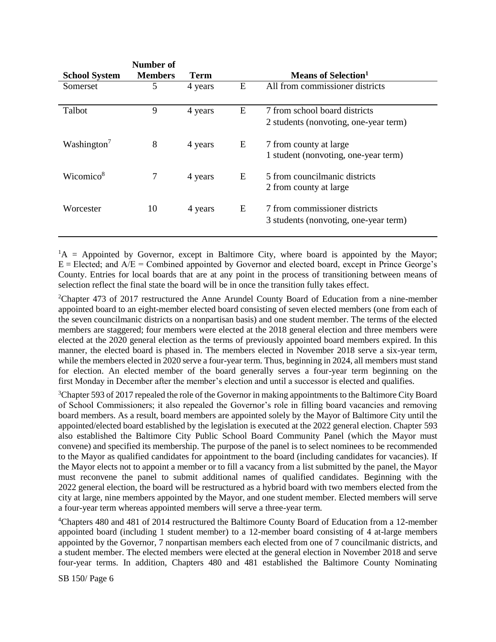| <b>School System</b>    | Number of<br><b>Members</b> | Term    |   | Means of Selection <sup>1</sup>                                        |
|-------------------------|-----------------------------|---------|---|------------------------------------------------------------------------|
| Somerset                | 5                           | 4 years | E | All from commissioner districts                                        |
| Talbot                  | 9                           | 4 years | E | 7 from school board districts<br>2 students (nonvoting, one-year term) |
| Washington <sup>7</sup> | 8                           | 4 years | E | 7 from county at large<br>1 student (nonvoting, one-year term)         |
| Wicomico <sup>8</sup>   |                             | 4 years | E | 5 from councilmanic districts<br>2 from county at large                |
| Worcester               | 10                          | 4 years | E | 7 from commissioner districts<br>3 students (nonvoting, one-year term) |

 ${}^{1}A$  = Appointed by Governor, except in Baltimore City, where board is appointed by the Mayor;  $E = E$ lected; and  $A/E =$  Combined appointed by Governor and elected board, except in Prince George's County. Entries for local boards that are at any point in the process of transitioning between means of selection reflect the final state the board will be in once the transition fully takes effect.

<sup>2</sup>Chapter 473 of 2017 restructured the Anne Arundel County Board of Education from a nine-member appointed board to an eight-member elected board consisting of seven elected members (one from each of the seven councilmanic districts on a nonpartisan basis) and one student member. The terms of the elected members are staggered; four members were elected at the 2018 general election and three members were elected at the 2020 general election as the terms of previously appointed board members expired. In this manner, the elected board is phased in. The members elected in November 2018 serve a six-year term, while the members elected in 2020 serve a four-year term. Thus, beginning in 2024, all members must stand for election. An elected member of the board generally serves a four-year term beginning on the first Monday in December after the member's election and until a successor is elected and qualifies.

<sup>3</sup>Chapter 593 of 2017 repealed the role of the Governor in making appointments to the Baltimore City Board of School Commissioners; it also repealed the Governor's role in filling board vacancies and removing board members. As a result, board members are appointed solely by the Mayor of Baltimore City until the appointed/elected board established by the legislation is executed at the 2022 general election. Chapter 593 also established the Baltimore City Public School Board Community Panel (which the Mayor must convene) and specified its membership. The purpose of the panel is to select nominees to be recommended to the Mayor as qualified candidates for appointment to the board (including candidates for vacancies). If the Mayor elects not to appoint a member or to fill a vacancy from a list submitted by the panel, the Mayor must reconvene the panel to submit additional names of qualified candidates. Beginning with the 2022 general election, the board will be restructured as a hybrid board with two members elected from the city at large, nine members appointed by the Mayor, and one student member. Elected members will serve a four-year term whereas appointed members will serve a three-year term.

<sup>4</sup>Chapters 480 and 481 of 2014 restructured the Baltimore County Board of Education from a 12-member appointed board (including 1 student member) to a 12-member board consisting of 4 at-large members appointed by the Governor, 7 nonpartisan members each elected from one of 7 councilmanic districts, and a student member. The elected members were elected at the general election in November 2018 and serve four-year terms. In addition, Chapters 480 and 481 established the Baltimore County Nominating